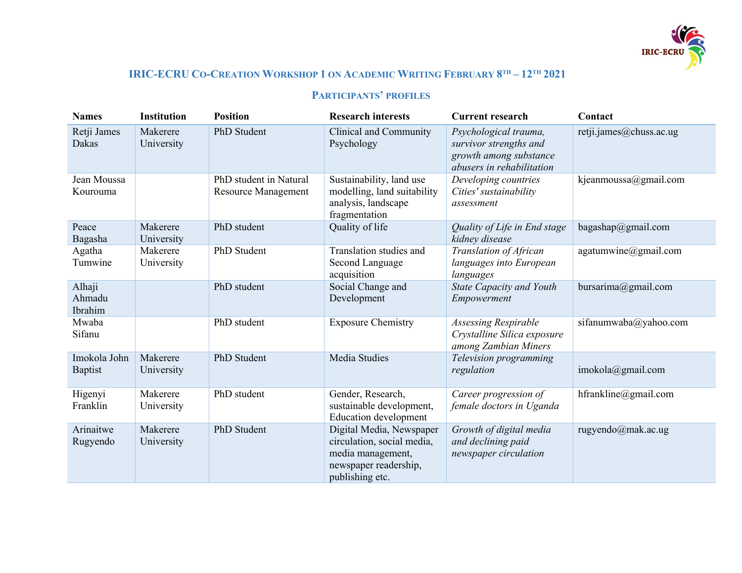

## **IRIC-ECRU CO-CREATION WORKSHOP 1 ON ACADEMIC WRITING FEBRUARY 8TH – 12TH 2021**

## **PARTICIPANTS' PROFILES**

| <b>Names</b>                   | <b>Institution</b>     | <b>Position</b>                                      | <b>Research interests</b>                                                                                               | <b>Current research</b>                                                                                | Contact                 |
|--------------------------------|------------------------|------------------------------------------------------|-------------------------------------------------------------------------------------------------------------------------|--------------------------------------------------------------------------------------------------------|-------------------------|
| Retji James<br>Dakas           | Makerere<br>University | PhD Student                                          | Clinical and Community<br>Psychology                                                                                    | Psychological trauma,<br>survivor strengths and<br>growth among substance<br>abusers in rehabilitation | retji.james@chuss.ac.ug |
| Jean Moussa<br>Kourouma        |                        | PhD student in Natural<br><b>Resource Management</b> | Sustainability, land use<br>modelling, land suitability<br>analysis, landscape<br>fragmentation                         | Developing countries<br>Cities' sustainability<br>assessment                                           | kjeanmoussa@gmail.com   |
| Peace<br>Bagasha               | Makerere<br>University | PhD student                                          | Quality of life                                                                                                         | Quality of Life in End stage<br>kidney disease                                                         | bagashap@gmail.com      |
| Agatha<br>Tumwine              | Makerere<br>University | PhD Student                                          | Translation studies and<br><b>Second Language</b><br>acquisition                                                        | Translation of African<br>languages into European<br>languages                                         | agatumwine@gmail.com    |
| Alhaji<br>Ahmadu<br>Ibrahim    |                        | PhD student                                          | Social Change and<br>Development                                                                                        | <b>State Capacity and Youth</b><br>Empowerment                                                         | bur sarima@gmail.com    |
| Mwaba<br>Sifanu                |                        | PhD student                                          | <b>Exposure Chemistry</b>                                                                                               | <b>Assessing Respirable</b><br>Crystalline Silica exposure<br>among Zambian Miners                     | sifanumwaba@yahoo.com   |
| Imokola John<br><b>Baptist</b> | Makerere<br>University | PhD Student                                          | Media Studies                                                                                                           | Television programming<br>regulation                                                                   | imokola@gmail.com       |
| Higenyi<br>Franklin            | Makerere<br>University | PhD student                                          | Gender, Research,<br>sustainable development,<br><b>Education development</b>                                           | Career progression of<br>female doctors in Uganda                                                      | hfrankline@gmail.com    |
| Arinaitwe<br>Rugyendo          | Makerere<br>University | PhD Student                                          | Digital Media, Newspaper<br>circulation, social media,<br>media management,<br>newspaper readership,<br>publishing etc. | Growth of digital media<br>and declining paid<br>newspaper circulation                                 | rugyendo@mak.ac.ug      |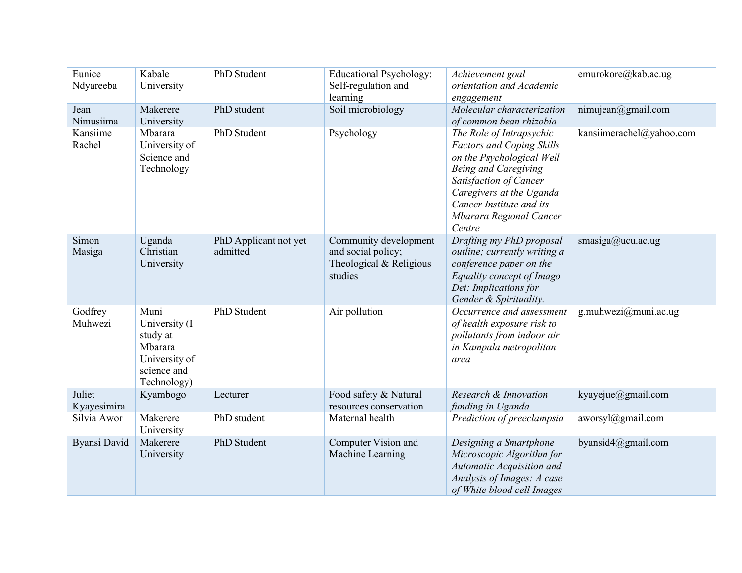| Eunice<br>Ndyareeba   | Kabale<br>University                                                                         | PhD Student                       | <b>Educational Psychology:</b><br>Self-regulation and<br>learning                 | Achievement goal<br>orientation and Academic<br>engagement                                                                                                                                                                                      | emurokore@kab.ac.ug      |
|-----------------------|----------------------------------------------------------------------------------------------|-----------------------------------|-----------------------------------------------------------------------------------|-------------------------------------------------------------------------------------------------------------------------------------------------------------------------------------------------------------------------------------------------|--------------------------|
| Jean<br>Nimusiima     | Makerere<br>University                                                                       | PhD student                       | Soil microbiology                                                                 | Molecular characterization<br>of common bean rhizobia                                                                                                                                                                                           | nimujean@gmail.com       |
| Kansiime<br>Rachel    | Mbarara<br>University of<br>Science and<br>Technology                                        | PhD Student                       | Psychology                                                                        | The Role of Intrapsychic<br><b>Factors and Coping Skills</b><br>on the Psychological Well<br><b>Being and Caregiving</b><br>Satisfaction of Cancer<br>Caregivers at the Uganda<br>Cancer Institute and its<br>Mbarara Regional Cancer<br>Centre | kansiimerachel@yahoo.com |
| Simon<br>Masiga       | Uganda<br>Christian<br>University                                                            | PhD Applicant not yet<br>admitted | Community development<br>and social policy;<br>Theological & Religious<br>studies | Drafting my PhD proposal<br>outline; currently writing a<br>conference paper on the<br>Equality concept of Imago<br>Dei: Implications for<br>Gender & Spirituality.                                                                             | smasiga@ucu.ac.ug        |
| Godfrey<br>Muhwezi    | Muni<br>University (I)<br>study at<br>Mbarara<br>University of<br>science and<br>Technology) | PhD Student                       | Air pollution                                                                     | Occurrence and assessment<br>of health exposure risk to<br>pollutants from indoor air<br>in Kampala metropolitan<br>area                                                                                                                        | g.muhwezi@muni.ac.ug     |
| Juliet<br>Kyayesimira | Kyambogo                                                                                     | Lecturer                          | Food safety & Natural<br>resources conservation                                   | Research & Innovation<br>funding in Uganda                                                                                                                                                                                                      | kyayejue@gmail.com       |
| Silvia Awor           | Makerere<br>University                                                                       | PhD student                       | Maternal health                                                                   | Prediction of preeclampsia                                                                                                                                                                                                                      | aworsyl@gmail.com        |
| Byansi David          | Makerere<br>University                                                                       | PhD Student                       | Computer Vision and<br>Machine Learning                                           | Designing a Smartphone<br>Microscopic Algorithm for<br>Automatic Acquisition and<br>Analysis of Images: A case<br>of White blood cell Images                                                                                                    | byansid4@gmail.com       |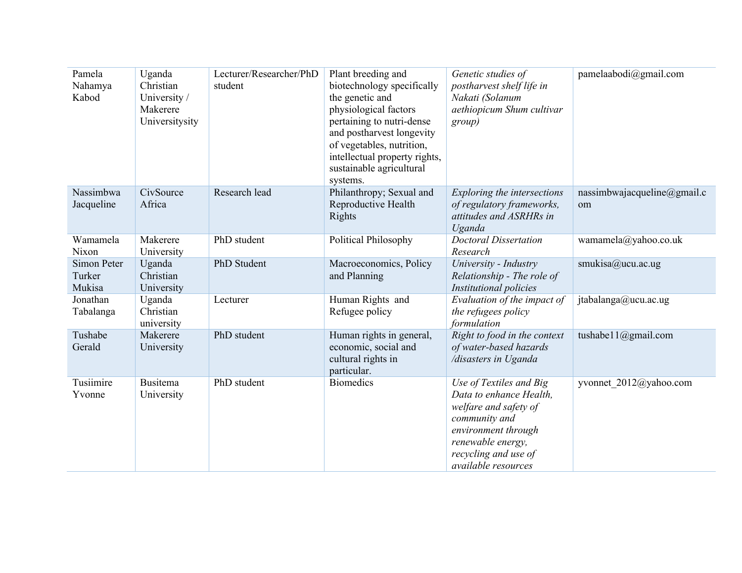| Pamela<br>Nahamya<br>Kabod      | Uganda<br>Christian<br>University /<br>Makerere<br>Universitysity | Lecturer/Researcher/PhD<br>student | Plant breeding and<br>biotechnology specifically<br>the genetic and<br>physiological factors<br>pertaining to nutri-dense<br>and postharvest longevity<br>of vegetables, nutrition,<br>intellectual property rights,<br>sustainable agricultural<br>systems. | Genetic studies of<br>postharvest shelf life in<br>Nakati (Solanum<br>aethiopicum Shum cultivar<br>group)                                                                               | pamelaabodi@gmail.com             |
|---------------------------------|-------------------------------------------------------------------|------------------------------------|--------------------------------------------------------------------------------------------------------------------------------------------------------------------------------------------------------------------------------------------------------------|-----------------------------------------------------------------------------------------------------------------------------------------------------------------------------------------|-----------------------------------|
| Nassimbwa<br>Jacqueline         | CivSource<br>Africa                                               | Research lead                      | Philanthropy; Sexual and<br>Reproductive Health<br>Rights                                                                                                                                                                                                    | Exploring the intersections<br>of regulatory frameworks,<br>attitudes and ASRHRs in<br>Uganda                                                                                           | nassimbwajacqueline@gmail.c<br>om |
| Wamamela<br>Nixon               | Makerere<br>University                                            | PhD student                        | Political Philosophy                                                                                                                                                                                                                                         | <b>Doctoral Dissertation</b><br>Research                                                                                                                                                | wamamela@yahoo.co.uk              |
| Simon Peter<br>Turker<br>Mukisa | Uganda<br>Christian<br>University                                 | PhD Student                        | Macroeconomics, Policy<br>and Planning                                                                                                                                                                                                                       | University - Industry<br>Relationship - The role of<br>Institutional policies                                                                                                           | smukisa@ucu.ac.ug                 |
| Jonathan<br>Tabalanga           | Uganda<br>Christian<br>university                                 | Lecturer                           | Human Rights and<br>Refugee policy                                                                                                                                                                                                                           | Evaluation of the impact of<br>the refugees policy<br>formulation                                                                                                                       | jtabalanga@ucu.ac.ug              |
| Tushabe<br>Gerald               | Makerere<br>University                                            | PhD student                        | Human rights in general,<br>economic, social and<br>cultural rights in<br>particular.                                                                                                                                                                        | Right to food in the context<br>of water-based hazards<br>/disasters in Uganda                                                                                                          | tushabe11@gmail.com               |
| Tusiimire<br>Yvonne             | <b>Busitema</b><br>University                                     | PhD student                        | <b>Biomedics</b>                                                                                                                                                                                                                                             | Use of Textiles and Big<br>Data to enhance Health,<br>welfare and safety of<br>community and<br>environment through<br>renewable energy,<br>recycling and use of<br>available resources | yvonnet 2012@yahoo.com            |